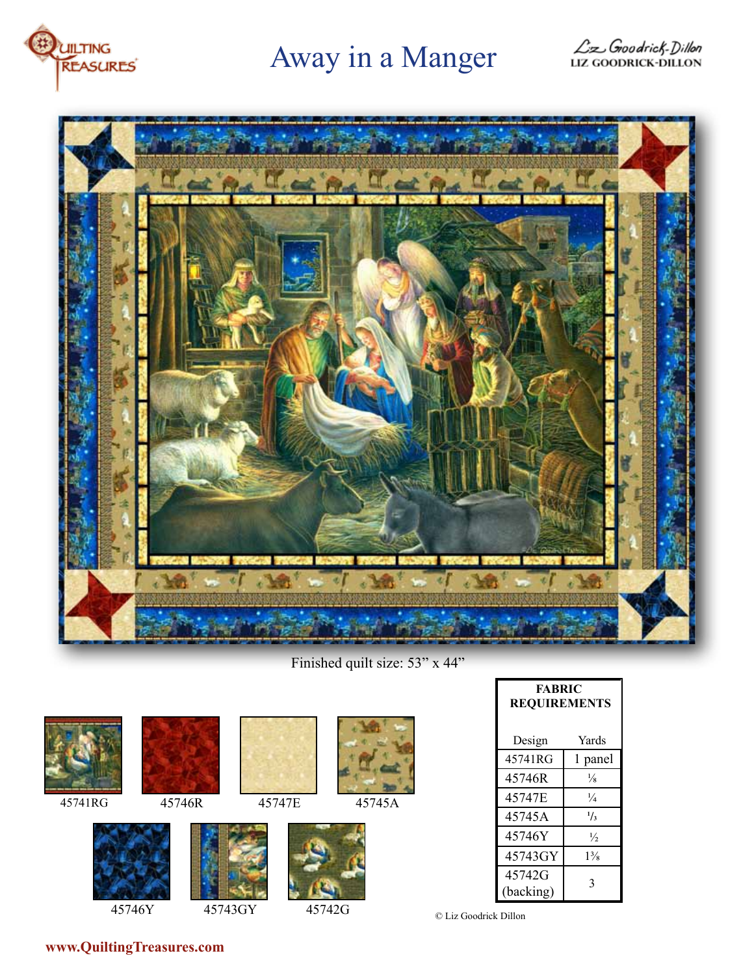

# Away in a Manger





Finished quilt size: 53" x 44"









45746Y 45743GY 45742G





| <b>FABRIC</b><br><b>REQUIREMENTS</b> |                |
|--------------------------------------|----------------|
| Design                               | Yards          |
| 45741RG                              | 1 panel        |
| 45746R                               | $\frac{1}{8}$  |
| 45747E                               | $\frac{1}{4}$  |
| 45745A                               | $^{1/3}$       |
| 45746Y                               | $\frac{1}{2}$  |
| 45743GY                              | $1\frac{3}{8}$ |
| 45742G<br>(backing)                  | 3              |

© Liz Goodrick Dillon

**www.QuiltingTreasures.com**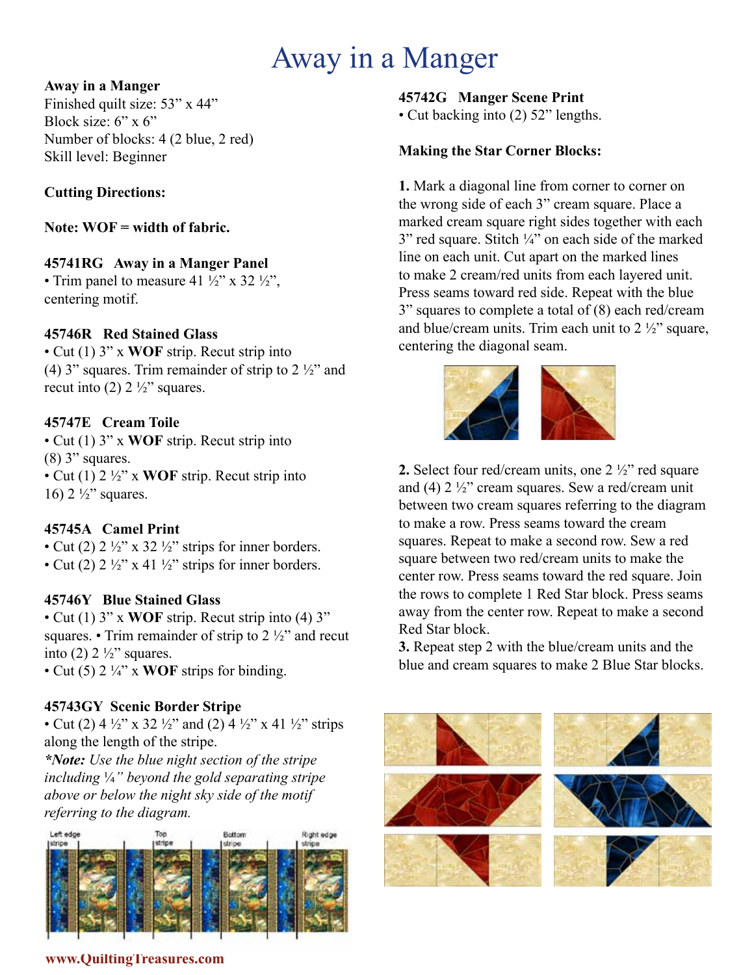# Away in a Manger

#### **Away in a Manger**

Finished quilt size: 53" x 44" Block size:  $6" \times 6"$ Number of blocks: 4 (2 blue, 2 red) Skill level: Beginner

## **Cutting Directions:**

**Note: WOF = width of fabric.** 

## **45741RG Away in a Manger Panel**

• Trim panel to measure 41  $\frac{1}{2}$ " x 32  $\frac{1}{2}$ ", centering motif.

### **45746R Red Stained Glass**

• Cut (1) 3" x **WOF** strip. Recut strip into (4) 3" squares. Trim remainder of strip to  $2\frac{1}{2}$ " and recut into (2)  $2\frac{1}{2}$  squares.

## **45747E Cream Toile**

• Cut (1) 3" x **WOF** strip. Recut strip into  $(8)$  3" squares. • Cut (1) 2 ½" x **WOF** strip. Recut strip into 16)  $2\frac{1}{2}$ " squares.

### **45745A Camel Print**

• Cut (2)  $2 \frac{1}{2}$ " x 32  $\frac{1}{2}$ " strips for inner borders. • Cut (2)  $2\frac{1}{2}$ " x 41  $\frac{1}{2}$ " strips for inner borders.

## **45746Y Blue Stained Glass**

• Cut (1) 3" x **WOF** strip. Recut strip into (4) 3" squares. • Trim remainder of strip to  $2\frac{1}{2}$  and recut into (2)  $2\frac{1}{2}$ " squares.

• Cut (5) 2 ¼" x **WOF** strips for binding.

## **45743GY Scenic Border Stripe**

• Cut (2) 4  $\frac{1}{2}$ " x 32  $\frac{1}{2}$ " and (2) 4  $\frac{1}{2}$ " x 41  $\frac{1}{2}$ " strips along the length of the stripe.

*\*Note: Use the blue night section of the stripe including* ¼*" beyond the gold separating stripe above or below the night sky side of the motif referring to the diagram.*



### **45742G Manger Scene Print**

• Cut backing into (2) 52" lengths.

### **Making the Star Corner Blocks:**

**1.** Mark a diagonal line from corner to corner on the wrong side of each 3" cream square. Place a marked cream square right sides together with each  $3"$  red square. Stitch  $\frac{1}{4}"$  on each side of the marked line on each unit. Cut apart on the marked lines to make 2 cream/red units from each layered unit. Press seams toward red side. Repeat with the blue 3" squares to complete a total of (8) each red/cream and blue/cream units. Trim each unit to  $2\frac{1}{2}$  square, centering the diagonal seam.



**2.** Select four red/cream units, one 2 ½" red square and (4)  $2\frac{1}{2}$ " cream squares. Sew a red/cream unit between two cream squares referring to the diagram to make a row. Press seams toward the cream squares. Repeat to make a second row. Sew a red square between two red/cream units to make the center row. Press seams toward the red square. Join the rows to complete 1 Red Star block. Press seams away from the center row. Repeat to make a second Red Star block.

**3.** Repeat step 2 with the blue/cream units and the blue and cream squares to make 2 Blue Star blocks.



#### **www.QuiltingTreasures.com**